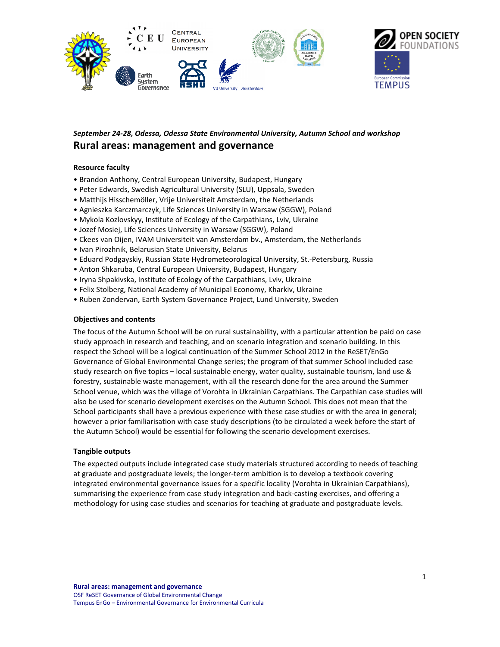

# *September 24-28, Odessa, Odessa State Environmental University, Autumn School and workshop*  **Rural areas: management and governance**

### **Resource faculty**

- Brandon Anthony, Central European University, Budapest, Hungary
- Peter Edwards, Swedish Agricultural University (SLU), Uppsala, Sweden
- Matthijs Hisschemöller, Vrije Universiteit Amsterdam, the Netherlands
- Agnieszka Karczmarczyk, Life Sciences University in Warsaw (SGGW), Poland
- Mykola Kozlovskyy, Institute of Ecology of the Carpathians, Lviv, Ukraine
- Jozef Mosiej, Life Sciences University in Warsaw (SGGW), Poland
- Ckees van Oijen, IVAM Universiteit van Amsterdam bv., Amsterdam, the Netherlands
- Ivan Pirozhnik, Belarusian State University, Belarus
- Eduard Podgayskiy, Russian State Hydrometeorological University, St.-Petersburg, Russia
- Anton Shkaruba, Central European University, Budapest, Hungary
- Iryna Shpakivska, Institute of Ecology of the Carpathians, Lviv, Ukraine
- Felix Stolberg, National Academy of Municipal Economy, Kharkiv, Ukraine
- Ruben Zondervan, Earth System Governance Project, Lund University, Sweden

#### **Objectives and contents**

The focus of the Autumn School will be on rural sustainability, with a particular attention be paid on case study approach in research and teaching, and on scenario integration and scenario building. In this respect the School will be a logical continuation of the Summer School 2012 in the ReSET/EnGo Governance of Global Environmental Change series; the program of that summer School included case study research on five topics – local sustainable energy, water quality, sustainable tourism, land use & forestry, sustainable waste management, with all the research done for the area around the Summer School venue, which was the village of Vorohta in Ukrainian Carpathians. The Carpathian case studies will also be used for scenario development exercises on the Autumn School. This does not mean that the School participants shall have a previous experience with these case studies or with the area in general; however a prior familiarisation with case study descriptions (to be circulated a week before the start of the Autumn School) would be essential for following the scenario development exercises.

#### **Tangible outputs**

The expected outputs include integrated case study materials structured according to needs of teaching at graduate and postgraduate levels; the longer-term ambition is to develop a textbook covering integrated environmental governance issues for a specific locality (Vorohta in Ukrainian Carpathians), summarising the experience from case study integration and back-casting exercises, and offering a methodology for using case studies and scenarios for teaching at graduate and postgraduate levels.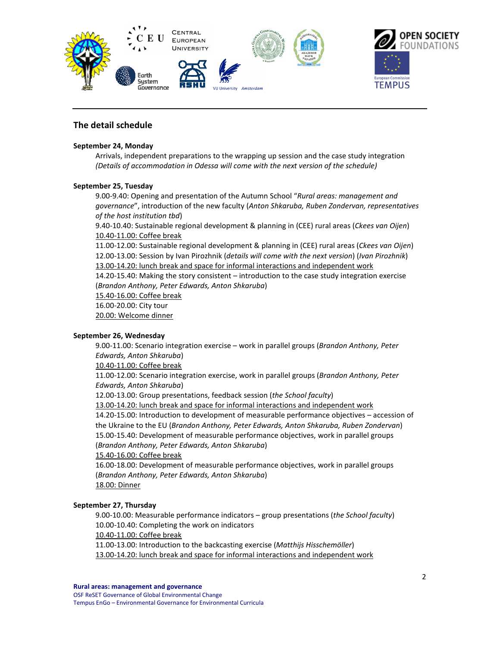

# **The detail schedule**

#### **September 24, Monday**

Arrivals, independent preparations to the wrapping up session and the case study integration *(Details of accommodation in Odessa will come with the next version of the schedule)* 

#### **September 25, Tuesday**

9.00-9.40: Opening and presentation of the Autumn School "*Rural areas: management and governance*", introduction of the new faculty (*Anton Shkaruba, Ruben Zondervan, representatives of the host institution tbd*)

9.40-10.40: Sustainable regional development & planning in (CEE) rural areas (*Ckees van Oijen*) 10.40-11.00: Coffee break

11.00-12.00: Sustainable regional development & planning in (CEE) rural areas (*Ckees van Oijen*) 12.00-13.00: Session by Ivan Pirozhnik (*details will come with the next version*) (*Ivan Pirozhnik*) 13.00-14.20: lunch break and space for informal interactions and independent work 14.20-15.40: Making the story consistent – introduction to the case study integration exercise (*Brandon Anthony, Peter Edwards, Anton Shkaruba*) 15.40-16.00: Coffee break 16.00-20.00: City tour 20.00: Welcome dinner

**September 26, Wednesday** 

9.00-11.00: Scenario integration exercise – work in parallel groups (*Brandon Anthony, Peter Edwards, Anton Shkaruba*)

10.40-11.00: Coffee break

11.00-12.00: Scenario integration exercise, work in parallel groups (*Brandon Anthony, Peter Edwards, Anton Shkaruba*)

12.00-13.00: Group presentations, feedback session (*the School faculty*)

13.00-14.20: lunch break and space for informal interactions and independent work

14.20-15.00: Introduction to development of measurable performance objectives – accession of the Ukraine to the EU (*Brandon Anthony, Peter Edwards, Anton Shkaruba, Ruben Zondervan*) 15.00-15.40: Development of measurable performance objectives, work in parallel groups (*Brandon Anthony, Peter Edwards, Anton Shkaruba*)

15.40-16.00: Coffee break

16.00-18.00: Development of measurable performance objectives, work in parallel groups (*Brandon Anthony, Peter Edwards, Anton Shkaruba*) 18.00: Dinner

### **September 27, Thursday**

9.00-10.00: Measurable performance indicators – group presentations (*the School faculty*) 10.00-10.40: Completing the work on indicators 10.40-11.00: Coffee break 11.00-13.00: Introduction to the backcasting exercise (*Matthijs Hisschemöller*)

13.00-14.20: lunch break and space for informal interactions and independent work